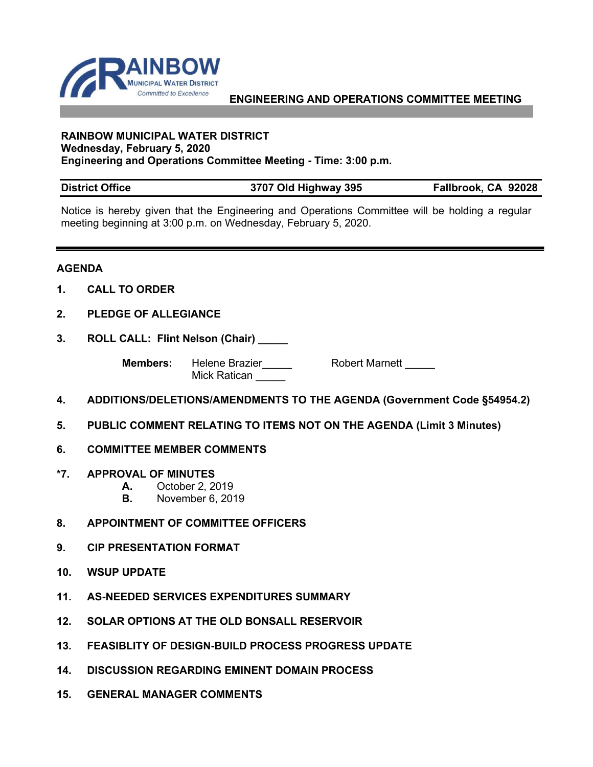

## **ENGINEERING AND OPERATIONS COMMITTEE MEETING**

## **RAINBOW MUNICIPAL WATER DISTRICT Wednesday, February 5, 2020 Engineering and Operations Committee Meeting - Time: 3:00 p.m.**

## **District Office 3707 Old Highway 395 Fallbrook, CA 92028**

Notice is hereby given that the Engineering and Operations Committee will be holding a regular meeting beginning at 3:00 p.m. on Wednesday, February 5, 2020.

## **AGENDA**

- **1. CALL TO ORDER**
- **2. PLEDGE OF ALLEGIANCE**
- **3. ROLL CALL: Flint Nelson (Chair) \_\_\_\_\_**

**Members:** Helene Brazier\_\_\_\_\_ Robert Marnett \_\_\_\_\_ Mick Ratican

- **4. ADDITIONS/DELETIONS/AMENDMENTS TO THE AGENDA (Government Code §54954.2)**
- **5. PUBLIC COMMENT RELATING TO ITEMS NOT ON THE AGENDA (Limit 3 Minutes)**
- **6. COMMITTEE MEMBER COMMENTS**
- **\*7. APPROVAL OF MINUTES**
	- **A.** October 2, 2019
	- **B.** November 6, 2019
- **8. APPOINTMENT OF COMMITTEE OFFICERS**
- **9. CIP PRESENTATION FORMAT**
- **10. WSUP UPDATE**
- **11. AS-NEEDED SERVICES EXPENDITURES SUMMARY**
- **12. SOLAR OPTIONS AT THE OLD BONSALL RESERVOIR**
- **13. FEASIBLITY OF DESIGN-BUILD PROCESS PROGRESS UPDATE**
- **14. DISCUSSION REGARDING EMINENT DOMAIN PROCESS**
- **15. GENERAL MANAGER COMMENTS**